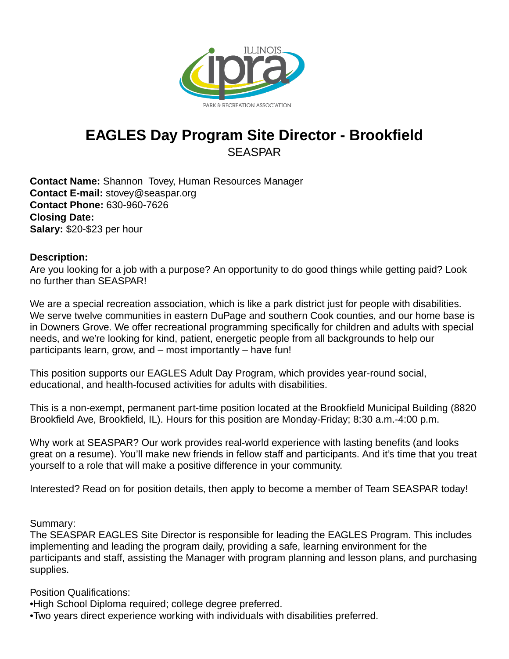

# **EAGLES Day Program Site Director - Brookfield** SEASPAR

**Contact Name:** Shannon Tovey, Human Resources Manager **Contact E-mail:** stovey@seaspar.org **Contact Phone:** 630-960-7626 **Closing Date: Salary:** \$20-\$23 per hour

### **Description:**

Are you looking for a job with a purpose? An opportunity to do good things while getting paid? Look no further than SEASPAR!

We are a special recreation association, which is like a park district just for people with disabilities. We serve twelve communities in eastern DuPage and southern Cook counties, and our home base is in Downers Grove. We offer recreational programming specifically for children and adults with special needs, and we're looking for kind, patient, energetic people from all backgrounds to help our participants learn, grow, and – most importantly – have fun!

This position supports our EAGLES Adult Day Program, which provides year-round social, educational, and health-focused activities for adults with disabilities.

This is a non-exempt, permanent part-time position located at the Brookfield Municipal Building (8820 Brookfield Ave, Brookfield, IL). Hours for this position are Monday-Friday; 8:30 a.m.-4:00 p.m.

Why work at SEASPAR? Our work provides real-world experience with lasting benefits (and looks great on a resume). You'll make new friends in fellow staff and participants. And it's time that you treat yourself to a role that will make a positive difference in your community.

Interested? Read on for position details, then apply to become a member of Team SEASPAR today!

### Summary:

The SEASPAR EAGLES Site Director is responsible for leading the EAGLES Program. This includes implementing and leading the program daily, providing a safe, learning environment for the participants and staff, assisting the Manager with program planning and lesson plans, and purchasing supplies.

Position Qualifications:

- High School Diploma required; college degree preferred.
- Two years direct experience working with individuals with disabilities preferred.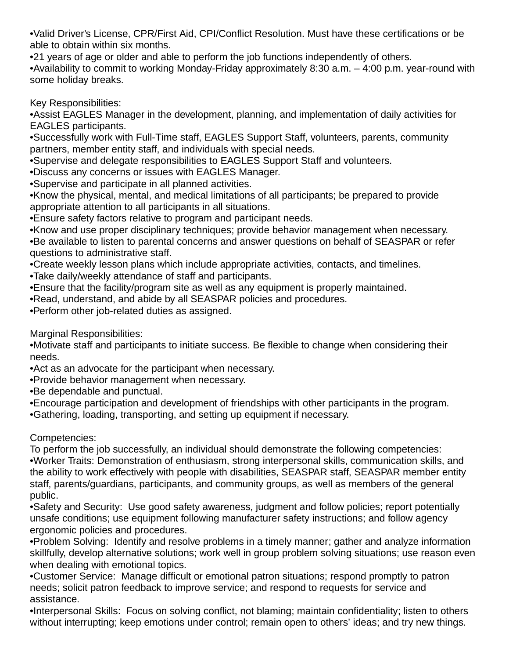• Valid Driver's License, CPR/First Aid, CPI/Conflict Resolution. Must have these certifications or be able to obtain within six months.

• 21 years of age or older and able to perform the job functions independently of others.

• Availability to commit to working Monday-Friday approximately 8:30 a.m. – 4:00 p.m. year-round with some holiday breaks.

Key Responsibilities:

• Assist EAGLES Manager in the development, planning, and implementation of daily activities for EAGLES participants.

• Successfully work with Full-Time staff, EAGLES Support Staff, volunteers, parents, community partners, member entity staff, and individuals with special needs.

- Supervise and delegate responsibilities to EAGLES Support Staff and volunteers.
- Discuss any concerns or issues with EAGLES Manager.
- Supervise and participate in all planned activities.
- Know the physical, mental, and medical limitations of all participants; be prepared to provide appropriate attention to all participants in all situations.
- Ensure safety factors relative to program and participant needs.
- • Know and use proper disciplinary techniques; provide behavior management when necessary.

• Be available to listen to parental concerns and answer questions on behalf of SEASPAR or refer questions to administrative staff.

- Create weekly lesson plans which include appropriate activities, contacts, and timelines.
- Take daily/weekly attendance of staff and participants.
- Ensure that the facility/program site as well as any equipment is properly maintained.
- Read, understand, and abide by all SEASPAR policies and procedures.
- Perform other job-related duties as assigned.

Marginal Responsibilities:

• Motivate staff and participants to initiate success. Be flexible to change when considering their needs.

- Act as an advocate for the participant when necessary.
- Provide behavior management when necessary.
- Be dependable and punctual.
- Encourage participation and development of friendships with other participants in the program.
- Gathering, loading, transporting, and setting up equipment if necessary.

## Competencies:

To perform the job successfully, an individual should demonstrate the following competencies:

• Worker Traits: Demonstration of enthusiasm, strong interpersonal skills, communication skills, and the ability to work effectively with people with disabilities, SEASPAR staff, SEASPAR member entity staff, parents/guardians, participants, and community groups, as well as members of the general public.

• Safety and Security: Use good safety awareness, judgment and follow policies; report potentially unsafe conditions; use equipment following manufacturer safety instructions; and follow agency ergonomic policies and procedures.

• Problem Solving: Identify and resolve problems in a timely manner; gather and analyze information skillfully, develop alternative solutions; work well in group problem solving situations; use reason even when dealing with emotional topics.

• Customer Service: Manage difficult or emotional patron situations; respond promptly to patron needs; solicit patron feedback to improve service; and respond to requests for service and assistance.

• Interpersonal Skills: Focus on solving conflict, not blaming; maintain confidentiality; listen to others without interrupting; keep emotions under control; remain open to others' ideas; and try new things.